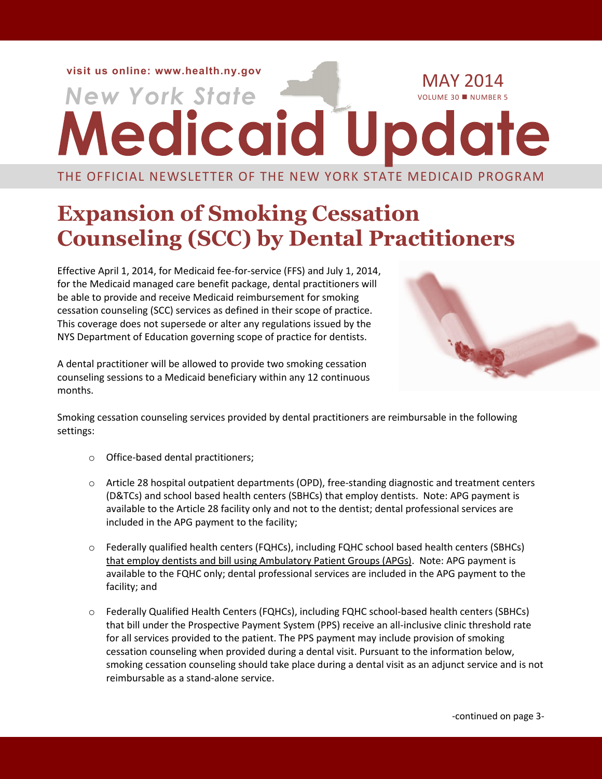**visit us online: [www.health.ny.gov](file://ocp-fp/ksk05$/Medicaid%20Update/www.health.ny.gov)**

# **New York State** MAY 2014

THE OFFICIAL NEWSLETTER OF THE NEW YORK STATE MEDICAID PROGRAM

### **Expansion of Smoking Cessation Counseling (SCC) by Dental Practitioners**

Effective April 1, 2014, for Medicaid fee-for-service (FFS) and July 1, 2014, for the Medicaid managed care benefit package, dental practitioners will be able to provide and receive Medicaid reimbursement for smoking cessation counseling (SCC) services as defined in their scope of practice. This coverage does not supersede or alter any regulations issued by the NYS Department of Education governing scope of practice for dentists.

A dental practitioner will be allowed to provide two smoking cessation counseling sessions to a Medicaid beneficiary within any 12 continuous months.



Smoking cessation counseling services provided by dental practitioners are reimbursable in the following settings:

- o Office-based dental practitioners;
- $\circ$  Article 28 hospital outpatient departments (OPD), free-standing diagnostic and treatment centers (D&TCs) and school based health centers (SBHCs) that employ dentists. Note: APG payment is available to the Article 28 facility only and not to the dentist; dental professional services are included in the APG payment to the facility;
- o Federally qualified health centers (FQHCs), including FQHC school based health centers (SBHCs) that employ dentists and bill using Ambulatory Patient Groups (APGs). Note: APG payment is available to the FQHC only; dental professional services are included in the APG payment to the facility; and
- o Federally Qualified Health Centers (FQHCs), including FQHC school-based health centers (SBHCs) that bill under the Prospective Payment System (PPS) receive an all-inclusive clinic threshold rate for all services provided to the patient. The PPS payment may include provision of smoking cessation counseling when provided during a dental visit. Pursuant to the information below, smoking cessation counseling should take place during a dental visit as an adjunct service and is not reimbursable as a stand-alone service.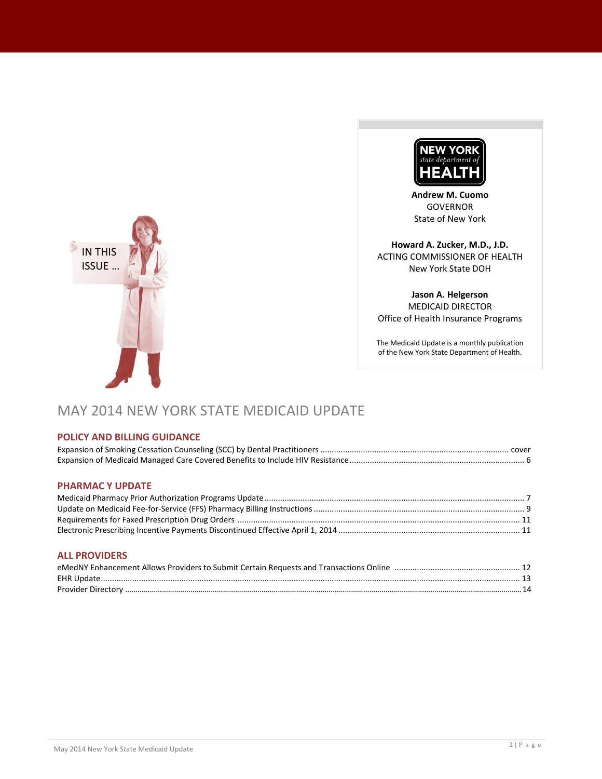

**Andrew M. Cuomo** GOVERNOR State of New York

**Howard A. Zucker, M.D., J.D.** ACTING COMMISSIONER OF HEALTH New York State DOH

**Jason A. Helgerson** MEDICAID DIRECTOR Office of Health Insurance Programs

The Medicaid Update is a monthly publication of the New York State Department of Health.

## MAY 2014 NEW YORK STATE MEDICAID UPDATE

#### **POLICY AND BILLING GUIDANCE**

#### **PHARMAC Y UPDATE**

IN THIS ISSUE …

#### **ALL PROVIDERS**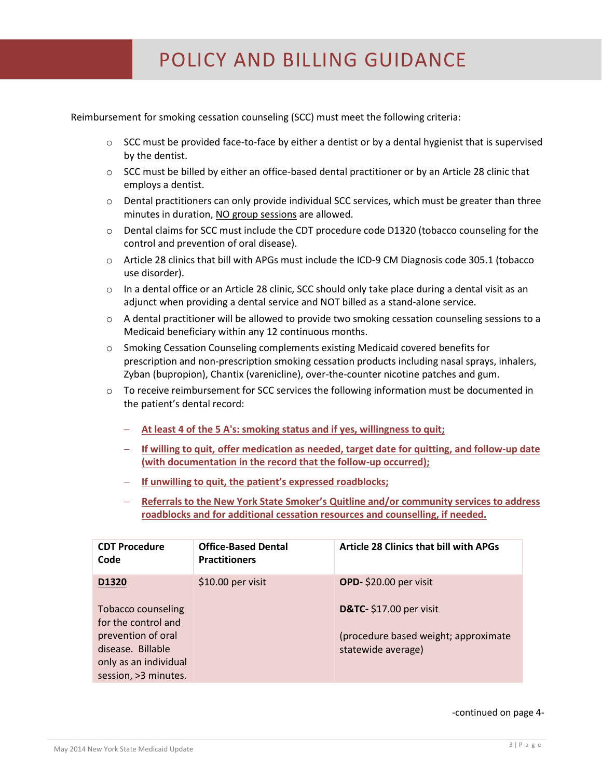Reimbursement for smoking cessation counseling (SCC) must meet the following criteria:

- $\circ$  SCC must be provided face-to-face by either a dentist or by a dental hygienist that is supervised by the dentist.
- $\circ$  SCC must be billed by either an office-based dental practitioner or by an Article 28 clinic that employs a dentist.
- $\circ$  Dental practitioners can only provide individual SCC services, which must be greater than three minutes in duration, NO group sessions are allowed.
- o Dental claims for SCC must include the CDT procedure code D1320 (tobacco counseling for the control and prevention of oral disease).
- o Article 28 clinics that bill with APGs must include the ICD-9 CM Diagnosis code 305.1 (tobacco use disorder).
- $\circ$  In a dental office or an Article 28 clinic, SCC should only take place during a dental visit as an adjunct when providing a dental service and NOT billed as a stand-alone service.
- o A dental practitioner will be allowed to provide two smoking cessation counseling sessions to a Medicaid beneficiary within any 12 continuous months.
- o Smoking Cessation Counseling complements existing Medicaid covered benefits for prescription and non-prescription smoking cessation products including nasal sprays, inhalers, Zyban (bupropion), Chantix (varenicline), over-the-counter nicotine patches and gum.
- $\circ$  To receive reimbursement for SCC services the following information must be documented in the patient's dental record:
	- **At least 4 of the 5 A's: smoking status and if yes, willingness to quit;**
	- **If willing to quit, offer medication as needed, target date for quitting, and follow-up date (with documentation in the record that the follow-up occurred);**
	- **If unwilling to quit, the patient's expressed roadblocks;**
	- **Referrals to the New York State Smoker's Quitline and/or community services to address roadblocks and for additional cessation resources and counselling, if needed.**

| <b>CDT Procedure</b><br>Code                                                              | <b>Office-Based Dental</b><br><b>Practitioners</b> | <b>Article 28 Clinics that bill with APGs</b>              |
|-------------------------------------------------------------------------------------------|----------------------------------------------------|------------------------------------------------------------|
| D1320                                                                                     | \$10.00 per visit                                  | OPD-\$20.00 per visit                                      |
| <b>Tobacco counseling</b><br>for the control and                                          |                                                    | <b>D&amp;TC-</b> \$17.00 per visit                         |
| prevention of oral<br>disease. Billable<br>only as an individual<br>session, > 3 minutes. |                                                    | (procedure based weight; approximate<br>statewide average) |

#### -continued on page 4-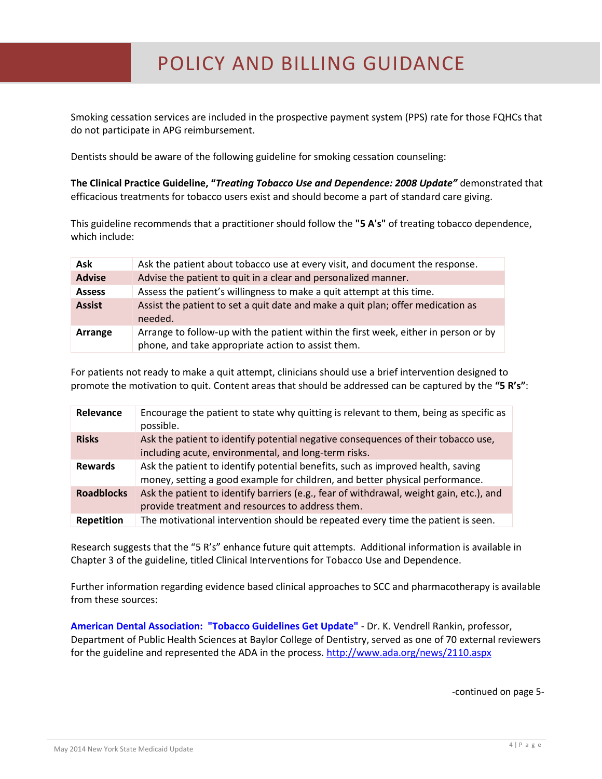Smoking cessation services are included in the prospective payment system (PPS) rate for those FQHCs that do not participate in APG reimbursement.

Dentists should be aware of the following guideline for smoking cessation counseling:

**The Clinical Practice Guideline, "***Treating Tobacco Use and Dependence: 2008 Update"* demonstrated that efficacious treatments for tobacco users exist and should become a part of standard care giving.

This guideline recommends that a practitioner should follow the **"5 A's"** of treating tobacco dependence, which include:

| Ask           | Ask the patient about tobacco use at every visit, and document the response.                                                              |
|---------------|-------------------------------------------------------------------------------------------------------------------------------------------|
| <b>Advise</b> | Advise the patient to quit in a clear and personalized manner.                                                                            |
| <b>Assess</b> | Assess the patient's willingness to make a quit attempt at this time.                                                                     |
| <b>Assist</b> | Assist the patient to set a quit date and make a quit plan; offer medication as<br>needed.                                                |
| Arrange       | Arrange to follow-up with the patient within the first week, either in person or by<br>phone, and take appropriate action to assist them. |

For patients not ready to make a quit attempt, clinicians should use a brief intervention designed to promote the motivation to quit. Content areas that should be addressed can be captured by the **"5 R's"**:

| Relevance         | Encourage the patient to state why quitting is relevant to them, being as specific as<br>possible.                                                              |
|-------------------|-----------------------------------------------------------------------------------------------------------------------------------------------------------------|
| <b>Risks</b>      | Ask the patient to identify potential negative consequences of their tobacco use,<br>including acute, environmental, and long-term risks.                       |
| <b>Rewards</b>    | Ask the patient to identify potential benefits, such as improved health, saving<br>money, setting a good example for children, and better physical performance. |
| <b>Roadblocks</b> | Ask the patient to identify barriers (e.g., fear of withdrawal, weight gain, etc.), and<br>provide treatment and resources to address them.                     |
| <b>Repetition</b> | The motivational intervention should be repeated every time the patient is seen.                                                                                |

Research suggests that the "5 R's" enhance future quit attempts. Additional information is available in Chapter 3 of the guideline, title[d Clinical Interventions for Tobacco Use and Dependence.](http://www.ncbi.nlm.nih.gov/books/n/hsahcpr/A28251/)

Further information regarding evidence based clinical approaches to SCC and pharmacotherapy is available from these sources:

**American Dental Association: "Tobacco Guidelines Get Update"** - Dr. K. Vendrell Rankin, professor, Department of Public Health Sciences at Baylor College of Dentistry, served as one of 70 external reviewers for the guideline and represented the ADA in the process. <http://www.ada.org/news/2110.aspx>

-continued on page 5-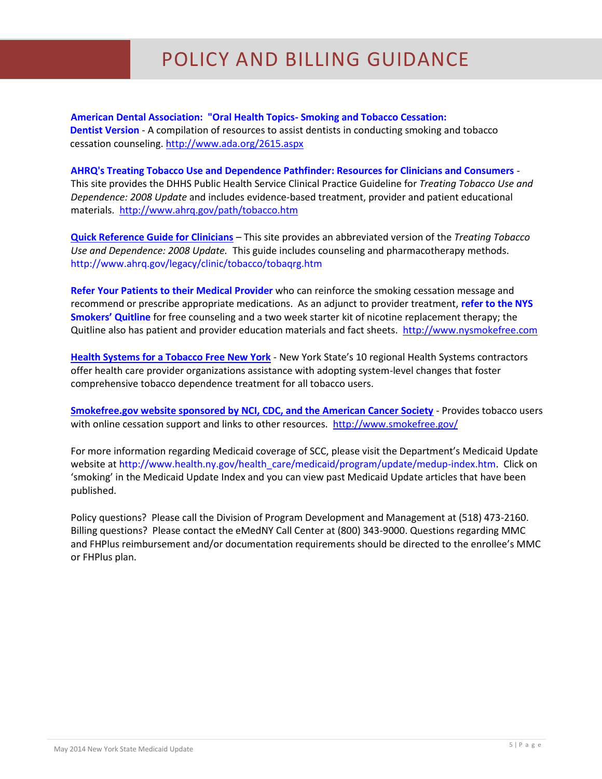**American Dental Association: "Oral Health Topics- Smoking and Tobacco Cessation: Dentist Version** - A compilation of resources to assist dentists in conducting smoking and tobacco cessation counseling[. http://www.ada.org/2615.aspx](http://www.ada.org/2615.aspx)

#### **[AHRQ's Treating Tobacco Use and Dependence Pathfinder: Resources for Clinicians and Consumers](http://www.ahrq.gov/path/tobacco.htm)** -

This site provides the DHHS Public Health Service Clinical Practice Guideline for *Treating Tobacco Use and Dependence: 2008 Update* and includes evidence-based treatment, provider and patient educational materials.<http://www.ahrq.gov/path/tobacco.htm>

**[Quick Reference Guide for Clinicians](http://www.ahrq.gov/clinic/tobacco/tobaqrg.htm)** – This site provides an abbreviated version of the *Treating Tobacco Use and Dependence: 2008 Update.* This guide includes counseling and pharmacotherapy methods. <http://www.ahrq.gov/legacy/clinic/tobacco/tobaqrg.htm>

**Refer Your Patients to their Medical Provider** who can reinforce the smoking cessation message and recommend or prescribe appropriate medications. As an adjunct to provider treatment, **refer to the NYS Smokers' Quitline** for free counseling and a two week starter kit of nicotine replacement therapy; the Quitline also has patient and provider education materials and fact sheets. [http://www.nysmokefree.com](http://www.nysmokefree.com/)

**Health Systems for a Tobacco Free New York** - New York State's 10 regional Health Systems contractors offer health care provider organizations assistance with adopting system-level changes that foster comprehensive tobacco dependence treatment for all tobacco users.

**[Smokefree.gov website sponsored by NCI, CDC, and the American Cancer Society](http://www.smokefree.gov/)** - Provides tobacco users with online cessation support and links to other resources.<http://www.smokefree.gov/>

For more information regarding Medicaid coverage of SCC, please visit the Department's Medicaid Update website at [http://www.health.ny.gov/health\\_care/medicaid/program/update/medup-index.htm.](http://www.health.ny.gov/health_care/medicaid/program/update/medup-index.htm) Click on 'smoking' in the Medicaid Update Index and you can view past Medicaid Update articles that have been published.

Policy questions? Please call the Division of Program Development and Management at (518) 473-2160. Billing questions? Please contact the eMedNY Call Center at (800) 343-9000. Questions regarding MMC and FHPlus reimbursement and/or documentation requirements should be directed to the enrollee's MMC or FHPlus plan.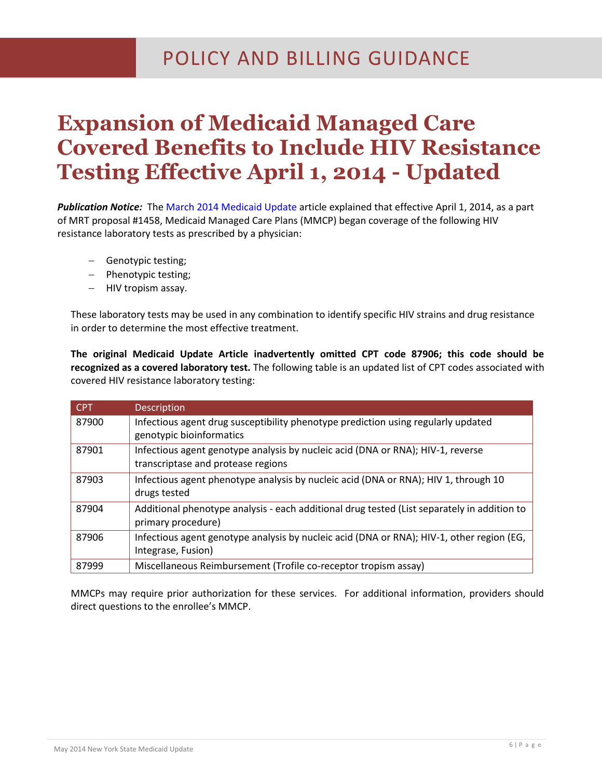### **Expansion of Medicaid Managed Care Covered Benefits to Include HIV Resistance Testing Effective April 1, 2014 - Updated**

*Publication Notice:* The [March 2014 Medicaid Update](http://www.health.ny.gov/health_care/medicaid/program/update/2014/mar14_mu.pdf)) article explained that effective April 1, 2014, as a part of MRT proposal #1458, Medicaid Managed Care Plans (MMCP) began coverage of the following HIV resistance laboratory tests as prescribed by a physician:

- Genotypic testing;
- Phenotypic testing;
- HIV tropism assay.

These laboratory tests may be used in any combination to identify specific HIV strains and drug resistance in order to determine the most effective treatment.

**The original Medicaid Update Article inadvertently omitted CPT code 87906; this code should be recognized as a covered laboratory test.** The following table is an updated list of CPT codes associated with covered HIV resistance laboratory testing:

| <b>CPT</b> | <b>Description</b>                                                                                                    |
|------------|-----------------------------------------------------------------------------------------------------------------------|
| 87900      | Infectious agent drug susceptibility phenotype prediction using regularly updated<br>genotypic bioinformatics         |
| 87901      | Infectious agent genotype analysis by nucleic acid (DNA or RNA); HIV-1, reverse<br>transcriptase and protease regions |
| 87903      | Infectious agent phenotype analysis by nucleic acid (DNA or RNA); HIV 1, through 10<br>drugs tested                   |
| 87904      | Additional phenotype analysis - each additional drug tested (List separately in addition to<br>primary procedure)     |
| 87906      | Infectious agent genotype analysis by nucleic acid (DNA or RNA); HIV-1, other region (EG,<br>Integrase, Fusion)       |
| 87999      | Miscellaneous Reimbursement (Trofile co-receptor tropism assay)                                                       |

MMCPs may require prior authorization for these services. For additional information, providers should direct questions to the enrollee's MMCP.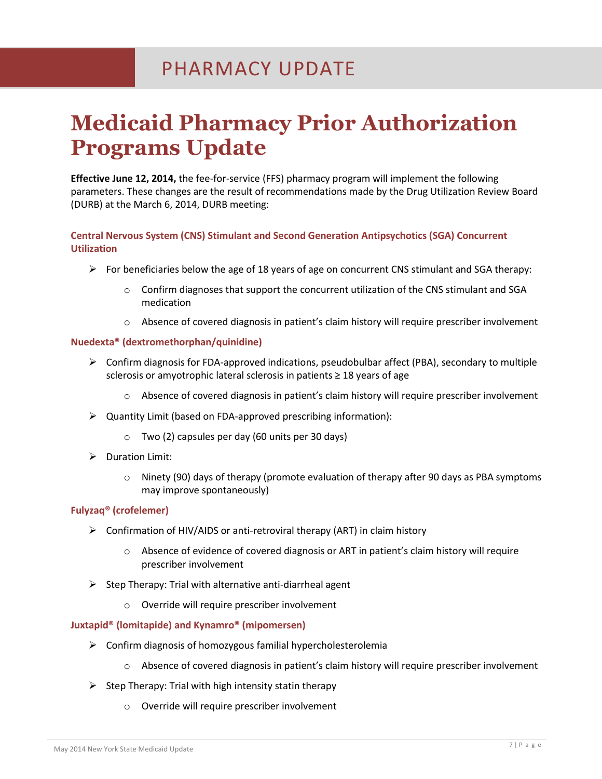### **Medicaid Pharmacy Prior Authorization Programs Update**

**Effective June 12, 2014,** the fee-for-service (FFS) pharmacy program will implement the following parameters. These changes are the result of recommendations made by the Drug Utilization Review Board (DURB) at the March 6, 2014, DURB meeting:

#### **Central Nervous System (CNS) Stimulant and Second Generation Antipsychotics (SGA) Concurrent Utilization**

- $\triangleright$  For beneficiaries below the age of 18 years of age on concurrent CNS stimulant and SGA therapy:
	- $\circ$  Confirm diagnoses that support the concurrent utilization of the CNS stimulant and SGA medication
	- $\circ$  Absence of covered diagnosis in patient's claim history will require prescriber involvement

#### **Nuedexta® (dextromethorphan/quinidine)**

- $\triangleright$  Confirm diagnosis for FDA-approved indications, pseudobulbar affect (PBA), secondary to multiple sclerosis or amyotrophic lateral sclerosis in patients ≥ 18 years of age
	- $\circ$  Absence of covered diagnosis in patient's claim history will require prescriber involvement
- Quantity Limit (based on FDA-approved prescribing information):
	- $\circ$  Two (2) capsules per day (60 units per 30 days)
- $\triangleright$  Duration Limit:
	- $\circ$  Ninety (90) days of therapy (promote evaluation of therapy after 90 days as PBA symptoms may improve spontaneously)

#### **Fulyzaq® (crofelemer)**

- $\triangleright$  Confirmation of HIV/AIDS or anti-retroviral therapy (ART) in claim history
	- o Absence of evidence of covered diagnosis or ART in patient's claim history will require prescriber involvement
- $\triangleright$  Step Therapy: Trial with alternative anti-diarrheal agent
	- o Override will require prescriber involvement

#### **Juxtapid® (lomitapide) and Kynamro® (mipomersen)**

- $\triangleright$  Confirm diagnosis of homozygous familial hypercholesterolemia
	- o Absence of covered diagnosis in patient's claim history will require prescriber involvement
- $\triangleright$  Step Therapy: Trial with high intensity statin therapy
	- o Override will require prescriber involvement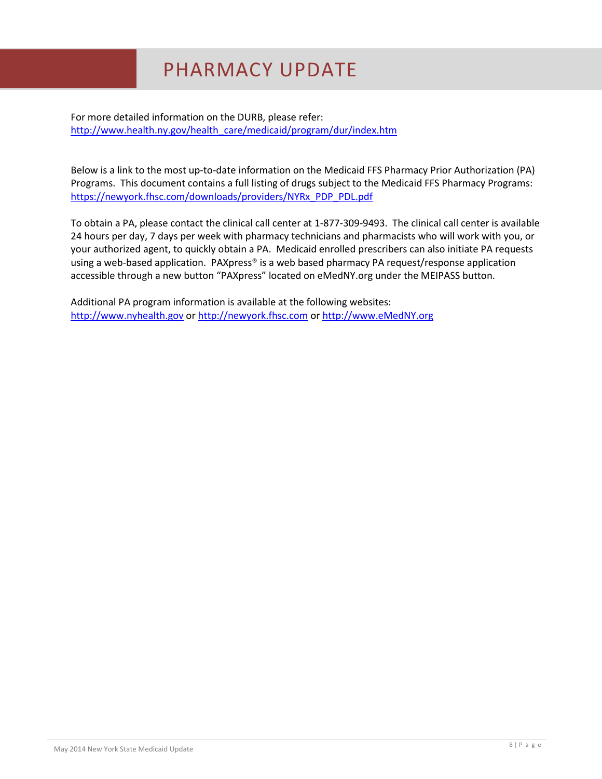For more detailed information on the DURB, please refer: [http://www.health.ny.gov/health\\_care/medicaid/program/dur/index.htm](http://www.health.ny.gov/health_care/medicaid/program/dur/index.htm)

Below is a link to the most up-to-date information on the Medicaid FFS Pharmacy Prior Authorization (PA) Programs. This document contains a full listing of drugs subject to the Medicaid FFS Pharmacy Programs: [https://newyork.fhsc.com/downloads/providers/NYRx\\_PDP\\_PDL.pdf](https://newyork.fhsc.com/downloads/providers/NYRx_PDP_PDL.pdf)

To obtain a PA, please contact the clinical call center at 1-877-309-9493. The clinical call center is available 24 hours per day, 7 days per week with pharmacy technicians and pharmacists who will work with you, or your authorized agent, to quickly obtain a PA. Medicaid enrolled prescribers can also initiate PA requests using a web-based application. PAXpress® is a web based pharmacy PA request/response application accessible through a new button "PAXpress" located on eMedNY.org under the MEIPASS button.

Additional PA program information is available at the following websites: [http://www.nyhealth.gov](http://www.nyhealth.gov/) or [http://newyork.fhsc.com](http://newyork.fhsc.com/) or [http://www.eMedNY.org](http://www.emedny.org/)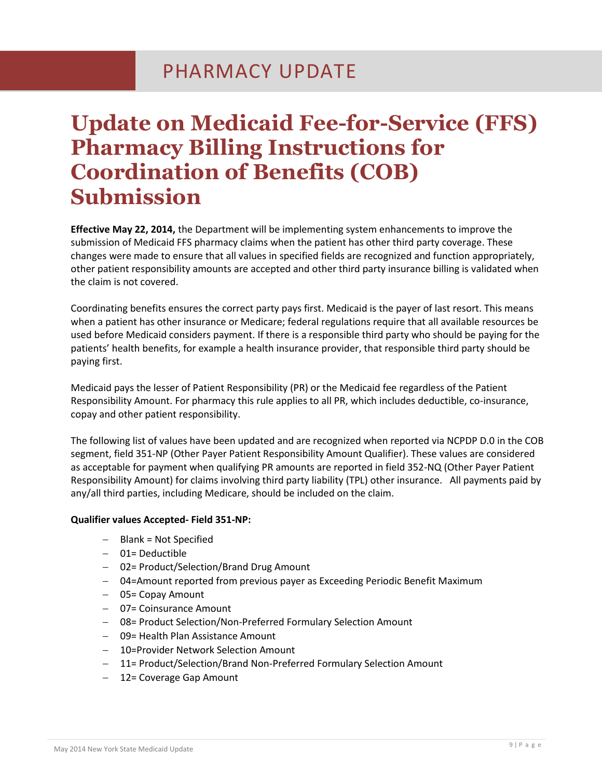### **Update on Medicaid Fee-for-Service (FFS) Pharmacy Billing Instructions for Coordination of Benefits (COB) Submission**

**Effective May 22, 2014,** the Department will be implementing system enhancements to improve the submission of Medicaid FFS pharmacy claims when the patient has other third party coverage. These changes were made to ensure that all values in specified fields are recognized and function appropriately, other patient responsibility amounts are accepted and other third party insurance billing is validated when the claim is not covered.

Coordinating benefits ensures the correct party pays first. Medicaid is the payer of last resort. This means when a patient has other insurance or Medicare; federal regulations require that all available resources be used before Medicaid considers payment. If there is a responsible third party who should be paying for the patients' health benefits, for example a health insurance provider, that responsible third party should be paying first.

Medicaid pays the lesser of Patient Responsibility (PR) or the Medicaid fee regardless of the Patient Responsibility Amount. For pharmacy this rule applies to all PR, which includes deductible, co-insurance, copay and other patient responsibility.

The following list of values have been updated and are recognized when reported via NCPDP D.0 in the COB segment, field 351-NP (Other Payer Patient Responsibility Amount Qualifier). These values are considered as acceptable for payment when qualifying PR amounts are reported in field 352-NQ (Other Payer Patient Responsibility Amount) for claims involving third party liability (TPL) other insurance. All payments paid by any/all third parties, including Medicare, should be included on the claim.

#### **Qualifier values Accepted- Field 351-NP:**

- $-$  Blank = Not Specified
- 01= Deductible
- 02= Product/Selection/Brand Drug Amount
- 04=Amount reported from previous payer as Exceeding Periodic Benefit Maximum
- 05= Copay Amount
- 07= Coinsurance Amount
- 08= Product Selection/Non-Preferred Formulary Selection Amount
- 09= Health Plan Assistance Amount
- 10=Provider Network Selection Amount
- 11= Product/Selection/Brand Non-Preferred Formulary Selection Amount
- 12= Coverage Gap Amount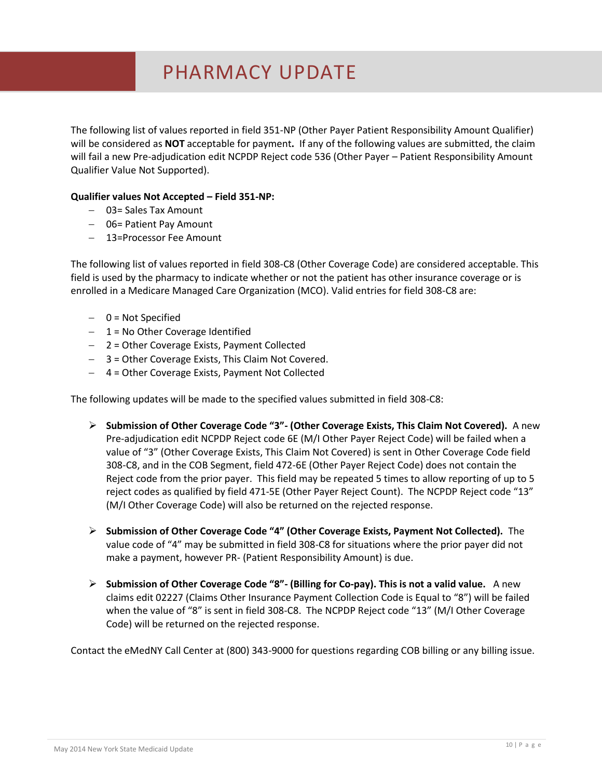The following list of values reported in field 351-NP (Other Payer Patient Responsibility Amount Qualifier) will be considered as **NOT** acceptable for payment**.** If any of the following values are submitted, the claim will fail a new Pre-adjudication edit NCPDP Reject code 536 (Other Payer – Patient Responsibility Amount Qualifier Value Not Supported).

#### **Qualifier values Not Accepted – Field 351-NP:**

- 03= Sales Tax Amount
- 06 = Patient Pay Amount
- 13=Processor Fee Amount

The following list of values reported in field 308-C8 (Other Coverage Code) are considered acceptable. This field is used by the pharmacy to indicate whether or not the patient has other insurance coverage or is enrolled in a Medicare Managed Care Organization (MCO). Valid entries for field 308-C8 are:

- $-$  0 = Not Specified
- $-1$  = No Other Coverage Identified
- 2 = Other Coverage Exists, Payment Collected
- 3 = Other Coverage Exists, This Claim Not Covered.
- 4 = Other Coverage Exists, Payment Not Collected

The following updates will be made to the specified values submitted in field 308-C8:

- **Submission of Other Coverage Code "3"- (Other Coverage Exists, This Claim Not Covered).** A new Pre-adjudication edit NCPDP Reject code 6E (M/I Other Payer Reject Code) will be failed when a value of "3" (Other Coverage Exists, This Claim Not Covered) is sent in Other Coverage Code field 308-C8, and in the COB Segment, field 472-6E (Other Payer Reject Code) does not contain the Reject code from the prior payer. This field may be repeated 5 times to allow reporting of up to 5 reject codes as qualified by field 471-5E (Other Payer Reject Count). The NCPDP Reject code "13" (M/I Other Coverage Code) will also be returned on the rejected response.
- **Submission of Other Coverage Code "4" (Other Coverage Exists, Payment Not Collected).** The value code of "4" may be submitted in field 308-C8 for situations where the prior payer did not make a payment, however PR- (Patient Responsibility Amount) is due.
- **Submission of Other Coverage Code "8"- (Billing for Co-pay). This is not a valid value.** A new claims edit 02227 (Claims Other Insurance Payment Collection Code is Equal to "8") will be failed when the value of "8" is sent in field 308-C8. The NCPDP Reject code "13" (M/I Other Coverage Code) will be returned on the rejected response.

Contact the eMedNY Call Center at (800) 343-9000 for questions regarding COB billing or any billing issue.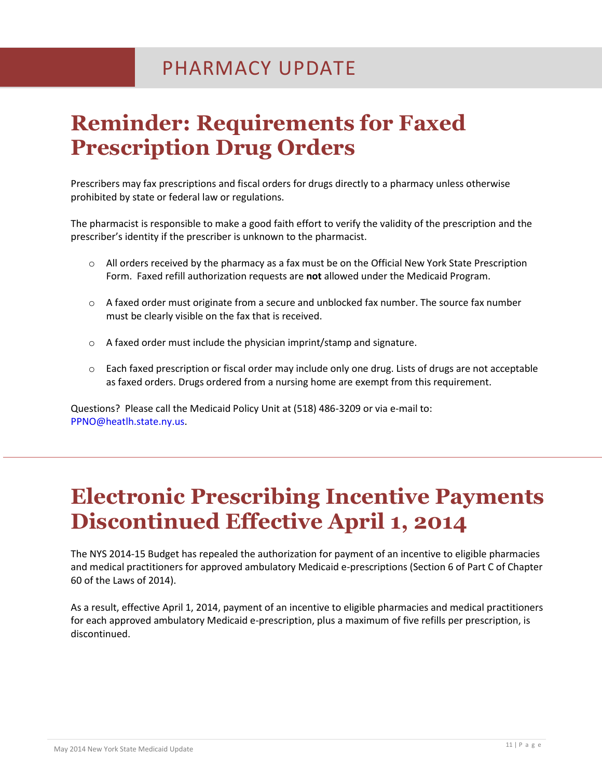### **Reminder: Requirements for Faxed Prescription Drug Orders**

Prescribers may fax prescriptions and fiscal orders for drugs directly to a pharmacy unless otherwise prohibited by state or federal law or regulations.

The pharmacist is responsible to make a good faith effort to verify the validity of the prescription and the prescriber's identity if the prescriber is unknown to the pharmacist.

- o All orders received by the pharmacy as a fax must be on the Official New York State Prescription Form. Faxed refill authorization requests are **not** allowed under the Medicaid Program.
- $\circ$  A faxed order must originate from a secure and unblocked fax number. The source fax number must be clearly visible on the fax that is received.
- o A faxed order must include the physician imprint/stamp and signature.
- $\circ$  Each faxed prescription or fiscal order may include only one drug. Lists of drugs are not acceptable as faxed orders. Drugs ordered from a nursing home are exempt from this requirement.

Questions? Please call the Medicaid Policy Unit at (518) 486-3209 or via e-mail to: [PPNO@heatlh.state.ny.us.](mailto:PPNO@heatlh.state.ny.us)

### **Electronic Prescribing Incentive Payments Discontinued Effective April 1, 2014**

The NYS 2014-15 Budget has repealed the authorization for payment of an incentive to eligible pharmacies and medical practitioners for approved ambulatory Medicaid e-prescriptions (Section 6 of Part C of Chapter 60 of the Laws of 2014).

As a result, effective April 1, 2014, payment of an incentive to eligible pharmacies and medical practitioners for each approved ambulatory Medicaid e-prescription, plus a maximum of five refills per prescription, is discontinued.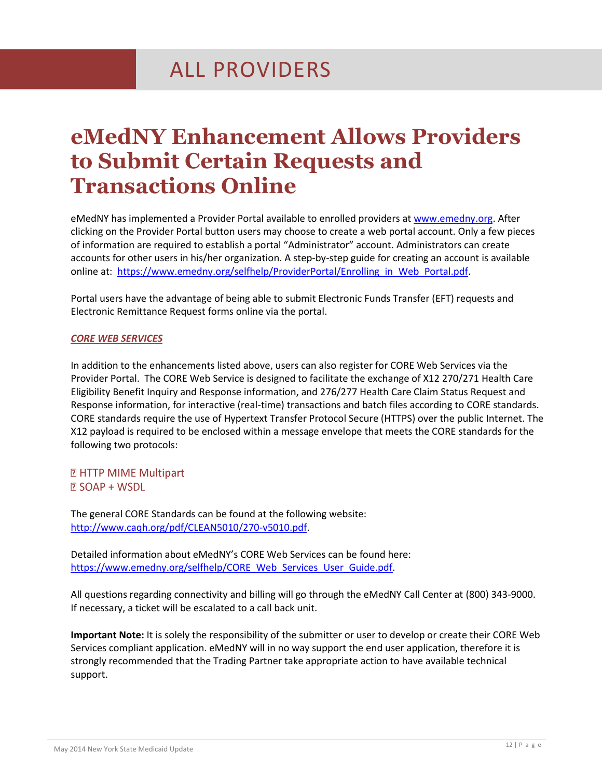### **eMedNY Enhancement Allows Providers to Submit Certain Requests and Transactions Online**

eMedNY has implemented a Provider Portal available to enrolled providers at [www.emedny.org.](http://www.emedny.org/) After clicking on the Provider Portal button users may choose to create a web portal account. Only a few pieces of information are required to establish a portal "Administrator" account. Administrators can create accounts for other users in his/her organization. A step-by-step guide for creating an account is available online at: [https://www.emedny.org/selfhelp/ProviderPortal/Enrolling\\_in\\_Web\\_Portal.pdf.](https://www.emedny.org/selfhelp/ProviderPortal/Enrolling_in_Web_Portal.pdf)

Portal users have the advantage of being able to submit Electronic Funds Transfer (EFT) requests and Electronic Remittance Request forms online via the portal.

#### *CORE WEB SERVICES*

In addition to the enhancements listed above, users can also register for CORE Web Services via the Provider Portal. The CORE Web Service is designed to facilitate the exchange of X12 270/271 Health Care Eligibility Benefit Inquiry and Response information, and 276/277 Health Care Claim Status Request and Response information, for interactive (real-time) transactions and batch files according to CORE standards. CORE standards require the use of Hypertext Transfer Protocol Secure (HTTPS) over the public Internet. The X12 payload is required to be enclosed within a message envelope that meets the CORE standards for the following two protocols:

**2 HTTP MIME Multipart 23 SOAP + WSDL** 

The general CORE Standards can be found at the following website: [http://www.caqh.org/pdf/CLEAN5010/270-v5010.pdf.](http://www.caqh.org/pdf/CLEAN5010/270-v5010.pdf)

Detailed information about eMedNY's CORE Web Services can be found here: [https://www.emedny.org/selfhelp/CORE\\_Web\\_Services\\_User\\_Guide.pdf.](https://www.emedny.org/selfhelp/CORE_Web_Services_User_Guide.pdf)

All questions regarding connectivity and billing will go through the eMedNY Call Center at (800) 343-9000. If necessary, a ticket will be escalated to a call back unit.

**Important Note:** It is solely the responsibility of the submitter or user to develop or create their CORE Web Services compliant application. eMedNY will in no way support the end user application, therefore it is strongly recommended that the Trading Partner take appropriate action to have available technical support.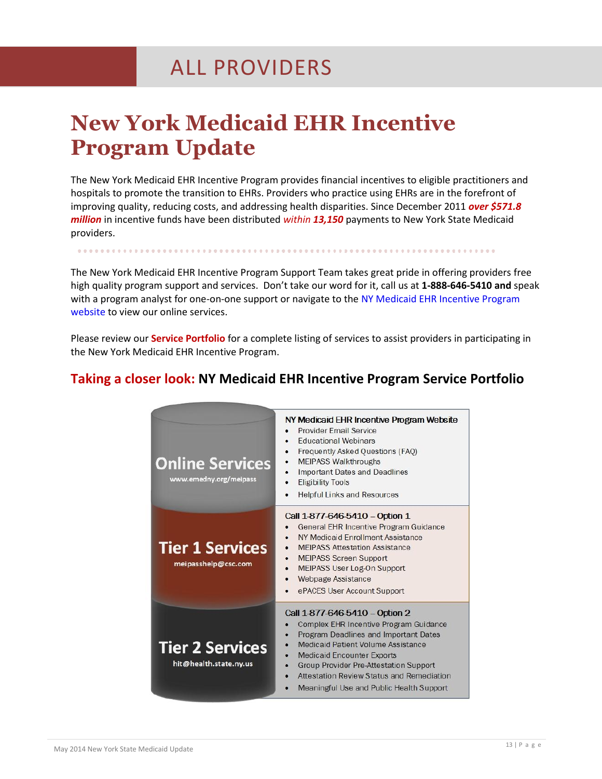### ALL PROVIDERS

### **New York Medicaid EHR Incentive Program Update**

The New York Medicaid EHR Incentive Program provides financial incentives to eligible practitioners and hospitals to promote the transition to EHRs. Providers who practice using EHRs are in the forefront of improving quality, reducing costs, and addressing health disparities. Since December 2011 *over \$571.8 million* in incentive funds have been distributed *within 13,150* payments to New York State Medicaid providers.

The New York Medicaid EHR Incentive Program Support Team takes great pride in offering providers free high quality program support and services. Don't take our word for it, call us at **1-888-646-5410 and** speak with a program analyst for one-on-one support or navigate to the [NY Medicaid EHR Incentive Program](https://www.emedny.org/meipass/)  [website](https://www.emedny.org/meipass/) to view our online services.

Please review our **Service Portfolio** for a complete listing of services to assist providers in participating in the New York Medicaid EHR Incentive Program.

| <b>Online Services</b><br>www.emedny.org/meipass | NY Medicaid EHR Incentive Program Website<br>Provider Email Service<br><b>Fducational Webinars</b><br>Frequently Asked Questions (FAQ)<br><b>MEIPASS Walkthroughs</b><br><b>Important Dates and Deadlines</b><br><b>Eligibility Tools</b><br><b>Helpful Links and Resources</b>                                                 |
|--------------------------------------------------|---------------------------------------------------------------------------------------------------------------------------------------------------------------------------------------------------------------------------------------------------------------------------------------------------------------------------------|
| <b>Tier 1 Services</b><br>meipasshelp@csc.com    | Call 1-877-646-5410 - Option 1<br><b>General EHR Incentive Program Guidance</b><br>NY Medicaid Enrollment Assistance<br><b>MEIPASS Attestation Assistance</b><br><b>MEIPASS Screen Support</b><br>MEIPASS User Log-On Support<br><b>Webpage Assistance</b><br>ePACES User Account Support                                       |
| <b>Tier 2 Services</b><br>hit@health.state.ny.us | Call 1-877-646-5410 - Option 2<br>Complex EHR Incentive Program Guidance<br>Program Deadlines and Important Dates<br>Medicaid Patient Volume Assistance<br><b>Medicaid Encounter Exports</b><br>Group Provider Pre-Attestation Support<br>Attestation Review Status and Remediation<br>Meaningful Use and Public Health Support |

#### **Taking a closer look: NY Medicaid EHR Incentive Program Service Portfolio**